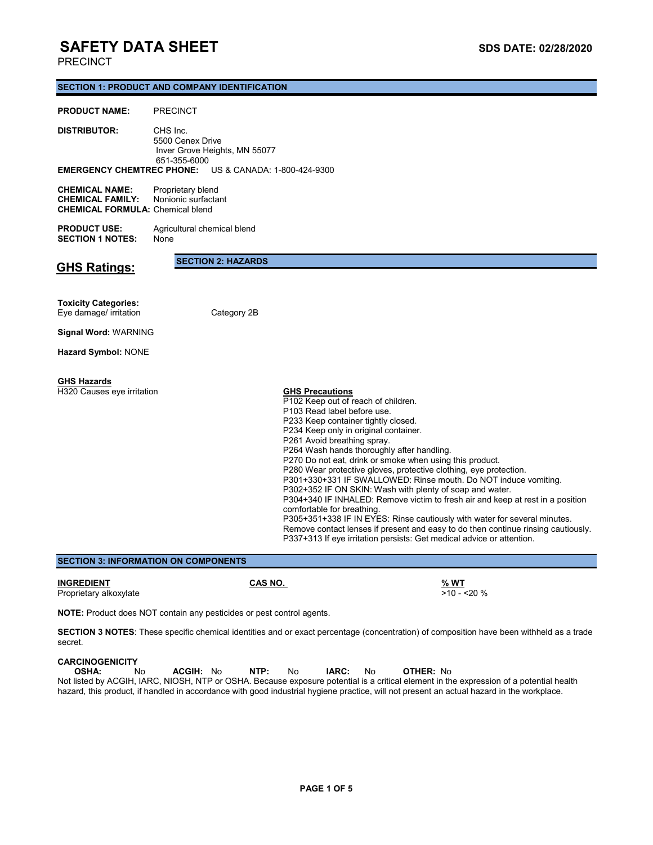### PRECINCT

### **SECTION 1: PRODUCT AND COMPANY IDENTIFICATION**

### **PRODUCT NAME:** PRECINCT

| <b>DISTRIBUTOR:</b>           | CHS Inc.<br>5500 Cenex Drive |                                                              |  |  |  |
|-------------------------------|------------------------------|--------------------------------------------------------------|--|--|--|
| Inver Grove Heights, MN 55077 |                              |                                                              |  |  |  |
| 651-355-6000                  |                              |                                                              |  |  |  |
|                               |                              | <b>EMERGENCY CHEMTREC PHONE:</b> US & CANADA: 1-800-424-9300 |  |  |  |

| <b>CHEMICAL NAME:</b>                   | Proprietary blend   |
|-----------------------------------------|---------------------|
| <b>CHEMICAL FAMILY:</b>                 | Nonionic surfactant |
| <b>CHEMICAL FORMULA: Chemical blend</b> |                     |

**PRODUCT USE:** Agricultural chemical blend<br>**SECTION 1 NOTES:** None **SECTION 1 NOTES:** 

**GHS Ratings:**

**SECTION 2: HAZARDS**

#### **Toxicity Categories:** Eye damage/ irritation Category 2B

**Signal Word:** WARNING

**Hazard Symbol:** NONE

### **GHS Hazards**

**H320 Causes eye irritation** 

**GHS Precautions**<br>P102 Keep out of reach of children. P103 Read label before use. P233 Keep container tightly closed. P234 Keep only in original container. P261 Avoid breathing spray. P264 Wash hands thoroughly after handling. P270 Do not eat, drink or smoke when using this product. P280 Wear protective gloves, protective clothing, eye protection. P301+330+331 IF SWALLOWED: Rinse mouth. Do NOT induce vomiting. P302+352 IF ON SKIN: Wash with plenty of soap and water. P304+340 IF INHALED: Remove victim to fresh air and keep at rest in a position comfortable for breathing. P305+351+338 IF IN EYES: Rinse cautiously with water for several minutes. Remove contact lenses if present and easy to do then continue rinsing cautiously. P337+313 If eye irritation persists: Get medical advice or attention.

**SECTION 3: INFORMATION ON COMPONENTS**

# Proprietary alkoxylate

**INGREDIENT**<br> **CAS NO.**<br> **Proprietary alkoxylate**<br> **Proprietary alkoxylate** 

**NOTE:** Product does NOT contain any pesticides or pest control agents.

**SECTION 3 NOTES**: These specific chemical identities and or exact percentage (concentration) of composition have been withheld as a trade secret.

# **CARCINOGENICITY<br>OSHA:** No

 **OSHA:** No **ACGIH:** No **NTP:** No **IARC:** No **OTHER:** No Not listed by ACGIH, IARC, NIOSH, NTP or OSHA. Because exposure potential is a critical element in the expression of a potential health hazard, this product, if handled in accordance with good industrial hygiene practice, will not present an actual hazard in the workplace.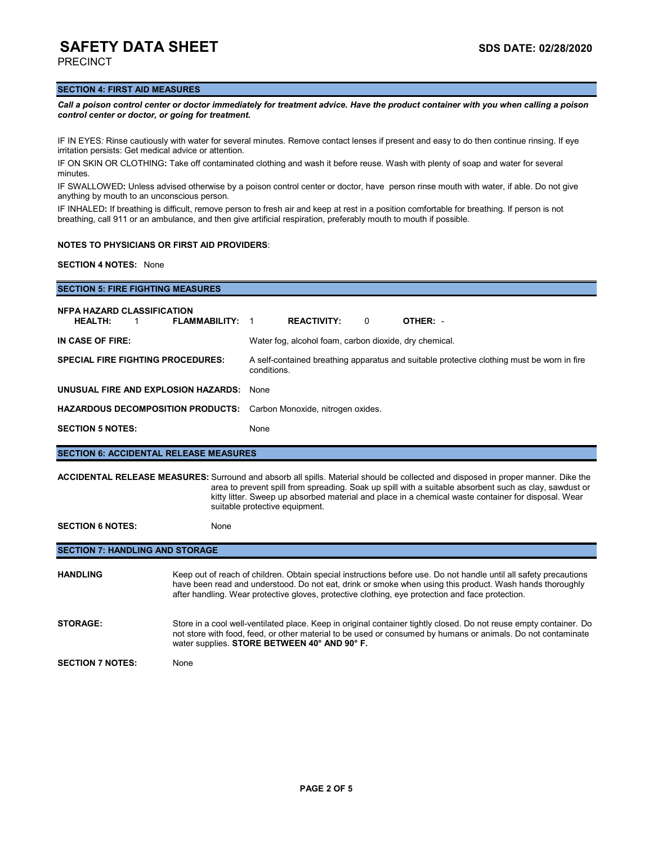PRECINCT

### **SECTION 4: FIRST AID MEASURES**

*Call a poison control center or doctor immediately for treatment advice. Have the product container with you when calling a poison control center or doctor, or going for treatment.*

IF IN EYES*:* Rinse cautiously with water for several minutes. Remove contact lenses if present and easy to do then continue rinsing. If eye irritation persists: Get medical advice or attention.

IF ON SKIN OR CLOTHING**:** Take off contaminated clothing and wash it before reuse. Wash with plenty of soap and water for several minutes.

IF SWALLOWED**:** Unless advised otherwise by a poison control center or doctor, have person rinse mouth with water, if able. Do not give anything by mouth to an unconscious person.

IF INHALED**:** If breathing is difficult, remove person to fresh air and keep at rest in a position comfortable for breathing. If person is not breathing, call 911 or an ambulance, and then give artificial respiration, preferably mouth to mouth if possible.

### **NOTES TO PHYSICIANS OR FIRST AID PROVIDERS**:

**SECTION 4 NOTES:** None

| <b>SECTION 5: FIRE FIGHTING MEASURES</b>                                                                                                                                                                                                                                                                                                                                                    |                                                                                                           |  |  |  |  |
|---------------------------------------------------------------------------------------------------------------------------------------------------------------------------------------------------------------------------------------------------------------------------------------------------------------------------------------------------------------------------------------------|-----------------------------------------------------------------------------------------------------------|--|--|--|--|
| <b>NFPA HAZARD CLASSIFICATION</b><br><b>HEALTH:</b><br><b>FLAMMABILITY: 1</b><br>$\overline{1}$                                                                                                                                                                                                                                                                                             | <b>REACTIVITY:</b><br>OTHER: -<br>$\Omega$                                                                |  |  |  |  |
| IN CASE OF FIRE:                                                                                                                                                                                                                                                                                                                                                                            | Water fog, alcohol foam, carbon dioxide, dry chemical.                                                    |  |  |  |  |
| <b>SPECIAL FIRE FIGHTING PROCEDURES:</b>                                                                                                                                                                                                                                                                                                                                                    | A self-contained breathing apparatus and suitable protective clothing must be worn in fire<br>conditions. |  |  |  |  |
| UNUSUAL FIRE AND EXPLOSION HAZARDS:                                                                                                                                                                                                                                                                                                                                                         | None                                                                                                      |  |  |  |  |
| <b>HAZARDOUS DECOMPOSITION PRODUCTS:</b>                                                                                                                                                                                                                                                                                                                                                    | Carbon Monoxide, nitrogen oxides.                                                                         |  |  |  |  |
| <b>SECTION 5 NOTES:</b>                                                                                                                                                                                                                                                                                                                                                                     | None                                                                                                      |  |  |  |  |
| <b>SECTION 6: ACCIDENTAL RELEASE MEASURES</b>                                                                                                                                                                                                                                                                                                                                               |                                                                                                           |  |  |  |  |
| <b>ACCIDENTAL RELEASE MEASURES:</b> Surround and absorb all spills. Material should be collected and disposed in proper manner. Dike the<br>area to prevent spill from spreading. Soak up spill with a suitable absorbent such as clay, sawdust or<br>kitty litter. Sweep up absorbed material and place in a chemical waste container for disposal. Wear<br>suitable protective equipment. |                                                                                                           |  |  |  |  |

SECTION 6 NOTES: None

### **SECTION 7: HANDLING AND STORAGE**

| <b>HANDLING</b>         | Keep out of reach of children. Obtain special instructions before use. Do not handle until all safety precautions<br>have been read and understood. Do not eat, drink or smoke when using this product. Wash hands thoroughly<br>after handling. Wear protective gloves, protective clothing, eye protection and face protection. |
|-------------------------|-----------------------------------------------------------------------------------------------------------------------------------------------------------------------------------------------------------------------------------------------------------------------------------------------------------------------------------|
| <b>STORAGE:</b>         | Store in a cool well-ventilated place. Keep in original container tightly closed. Do not reuse empty container. Do<br>not store with food, feed, or other material to be used or consumed by humans or animals. Do not contaminate<br>water supplies. STORE BETWEEN 40° AND 90° F.                                                |
| <b>SECTION 7 NOTES:</b> | None                                                                                                                                                                                                                                                                                                                              |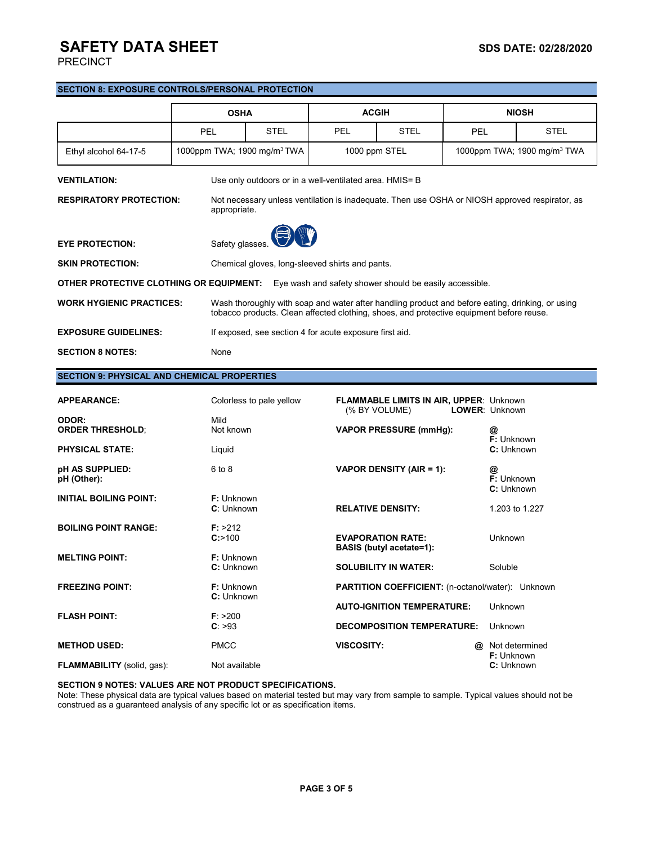PRECINCT

### **SECTION 8: EXPOSURE CONTROLS/PERSONAL PROTECTION**

|                                                                                                    | <b>OSHA</b>                             |                                                                                                                                                                                              | <b>ACGIH</b> |                                                          | <b>NIOSH</b> |             |  |
|----------------------------------------------------------------------------------------------------|-----------------------------------------|----------------------------------------------------------------------------------------------------------------------------------------------------------------------------------------------|--------------|----------------------------------------------------------|--------------|-------------|--|
|                                                                                                    | <b>PEL</b>                              | <b>STEL</b>                                                                                                                                                                                  | PFI          | <b>STEL</b>                                              | PFI          | <b>STEL</b> |  |
| Ethyl alcohol 64-17-5                                                                              | 1000ppm TWA; 1900 mg/m <sup>3</sup> TWA |                                                                                                                                                                                              |              | 1000ppm TWA; 1900 mg/m <sup>3</sup> TWA<br>1000 ppm STEL |              |             |  |
| <b>VENTILATION:</b><br>Use only outdoors or in a well-ventilated area. HMIS= B                     |                                         |                                                                                                                                                                                              |              |                                                          |              |             |  |
| <b>RESPIRATORY PROTECTION:</b>                                                                     |                                         | Not necessary unless ventilation is inadequate. Then use OSHA or NIOSH approved respirator, as<br>appropriate.                                                                               |              |                                                          |              |             |  |
| <b>EYE PROTECTION:</b>                                                                             | Safety glasses.                         |                                                                                                                                                                                              |              |                                                          |              |             |  |
| <b>SKIN PROTECTION:</b>                                                                            |                                         | Chemical gloves, long-sleeved shirts and pants.                                                                                                                                              |              |                                                          |              |             |  |
| OTHER PROTECTIVE CLOTHING OR EQUIPMENT:<br>Eye wash and safety shower should be easily accessible. |                                         |                                                                                                                                                                                              |              |                                                          |              |             |  |
| <b>WORK HYGIENIC PRACTICES:</b>                                                                    |                                         | Wash thoroughly with soap and water after handling product and before eating, drinking, or using<br>tobacco products. Clean affected clothing, shoes, and protective equipment before reuse. |              |                                                          |              |             |  |
| <b>EXPOSURE GUIDELINES:</b>                                                                        |                                         | If exposed, see section 4 for acute exposure first aid.                                                                                                                                      |              |                                                          |              |             |  |
| <b>SECTION 8 NOTES:</b>                                                                            | None                                    |                                                                                                                                                                                              |              |                                                          |              |             |  |

### **SECTION 9: PHYSICAL AND CHEMICAL PROPERTIES**

| <b>APPEARANCE:</b>                | Colorless to pale yellow        | <b>FLAMMABLE LIMITS IN AIR, UPPER: Unknown</b><br>(% BY VOLUME) |   | <b>LOWER: Unknown</b>               |
|-----------------------------------|---------------------------------|-----------------------------------------------------------------|---|-------------------------------------|
| ODOR:                             | Mild                            |                                                                 |   |                                     |
| <b>ORDER THRESHOLD;</b>           | Not known                       | <b>VAPOR PRESSURE (mmHg):</b>                                   |   | @<br><b>F:</b> Unknown              |
| <b>PHYSICAL STATE:</b>            | Liquid                          |                                                                 |   | C: Unknown                          |
| pH AS SUPPLIED:<br>pH (Other):    | 6 to 8                          | VAPOR DENSITY (AIR = 1):                                        |   | @<br>F: Unknown<br>C: Unknown       |
| <b>INITIAL BOILING POINT:</b>     | F: Unknown<br>C: Unknown        | <b>RELATIVE DENSITY:</b>                                        |   | 1.203 to 1.227                      |
| <b>BOILING POINT RANGE:</b>       | F: >212<br>$C$ :>100            | <b>EVAPORATION RATE:</b><br><b>BASIS (butyl acetate=1):</b>     |   | Unknown                             |
| <b>MELTING POINT:</b>             | <b>F:</b> Unknown<br>C: Unknown | <b>SOLUBILITY IN WATER:</b>                                     |   | Soluble                             |
| <b>FREEZING POINT:</b>            | <b>F:</b> Unknown<br>C: Unknown | <b>PARTITION COEFFICIENT:</b> (n-octanol/water): Unknown        |   |                                     |
| <b>FLASH POINT:</b>               | F: > 200                        | <b>AUTO-IGNITION TEMPERATURE:</b>                               |   | Unknown                             |
|                                   | C: >93                          | <b>DECOMPOSITION TEMPERATURE:</b>                               |   | Unknown                             |
| <b>METHOD USED:</b>               | <b>PMCC</b>                     | VISCOSITY:                                                      | @ | Not determined<br><b>F:</b> Unknown |
| <b>FLAMMABILITY</b> (solid, gas): | Not available                   |                                                                 |   | C: Unknown                          |

### **SECTION 9 NOTES: VALUES ARE NOT PRODUCT SPECIFICATIONS.**

Note: These physical data are typical values based on material tested but may vary from sample to sample. Typical values should not be construed as a guaranteed analysis of any specific lot or as specification items.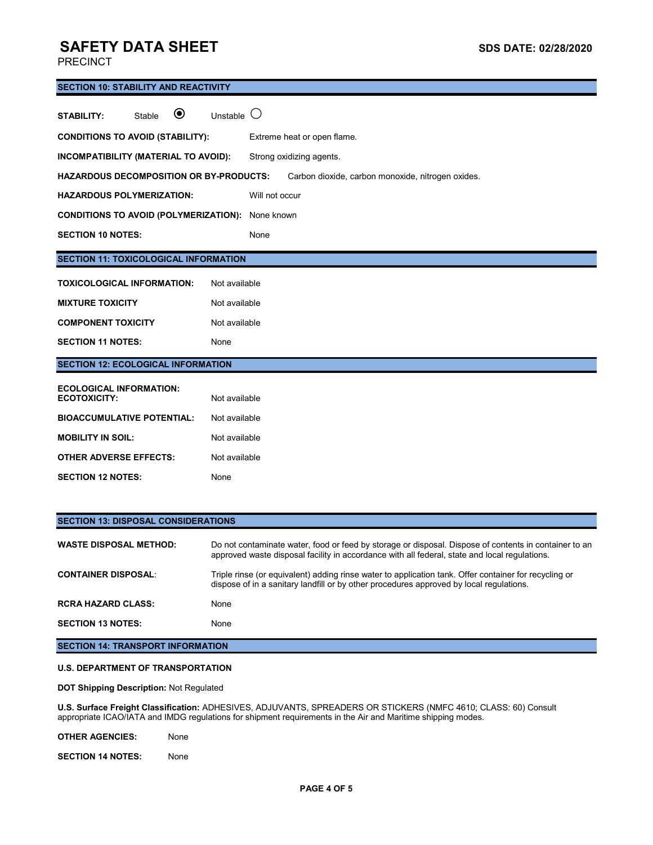PRECINCT

# **SECTION 10: STABILITY AND REACTIVITY STABILITY:** Stable  $\odot$  Unstable  $\odot$ **CONDITIONS TO AVOID (STABILITY):** Extreme heat or open flame. **INCOMPATIBILITY (MATERIAL TO AVOID):** Strong oxidizing agents. **HAZARDOUS DECOMPOSITION OR BY-PRODUCTS:** Carbon dioxide, carbon monoxide, nitrogen oxides. **HAZARDOUS POLYMERIZATION:** Will not occur **CONDITIONS TO AVOID (POLYMERIZATION):** None known SECTION 10 NOTES: None **SECTION 11: TOXICOLOGICAL INFORMATION TOXICOLOGICAL INFORMATION:** Not available **MIXTURE TOXICITY** Not available **COMPONENT TOXICITY** Not available SECTION 11 NOTES: None **SECTION 12: ECOLOGICAL INFORMATION ECOLOGICAL INFORMATION: ECOTOXICITY:** Not available **BIOACCUMULATIVE POTENTIAL:** Not available **MOBILITY IN SOIL:** Not available **OTHER ADVERSE EFFECTS:** Not available **SECTION 12 NOTES:** None

| <b>SECTION 13: DISPOSAL CONSIDERATIONS</b> |                                                                                                                                                                                                        |  |  |  |
|--------------------------------------------|--------------------------------------------------------------------------------------------------------------------------------------------------------------------------------------------------------|--|--|--|
| <b>WASTE DISPOSAL METHOD:</b>              | Do not contaminate water, food or feed by storage or disposal. Dispose of contents in container to an<br>approved waste disposal facility in accordance with all federal, state and local regulations. |  |  |  |
| <b>CONTAINER DISPOSAL:</b>                 | Triple rinse (or equivalent) adding rinse water to application tank. Offer container for recycling or<br>dispose of in a sanitary landfill or by other procedures approved by local regulations.       |  |  |  |
| <b>RCRA HAZARD CLASS:</b>                  | None                                                                                                                                                                                                   |  |  |  |
| <b>SECTION 13 NOTES:</b>                   | None                                                                                                                                                                                                   |  |  |  |
| <b>SECTION 14: TRANSPORT INFORMATION</b>   |                                                                                                                                                                                                        |  |  |  |

### **U.S. DEPARTMENT OF TRANSPORTATION**

**DOT Shipping Description:** Not Regulated

**U.S. Surface Freight Classification:** ADHESIVES, ADJUVANTS, SPREADERS OR STICKERS (NMFC 4610; CLASS: 60) Consult appropriate ICAO/IATA and IMDG regulations for shipment requirements in the Air and Maritime shipping modes.

**OTHER AGENCIES:** None

**SECTION 14 NOTES:** None